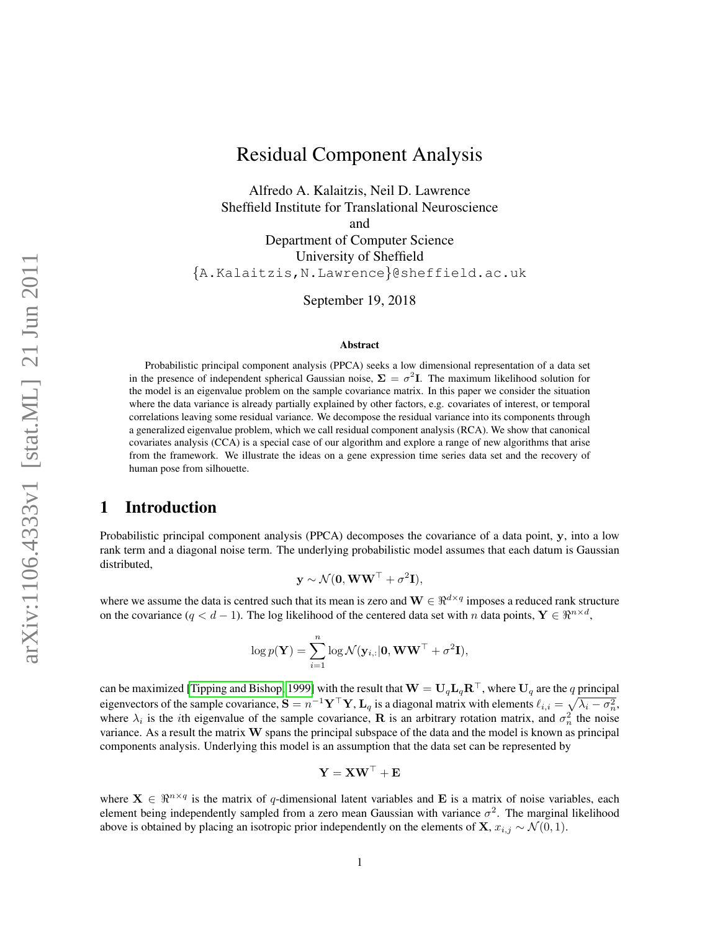# Residual Component Analysis

Alfredo A. Kalaitzis, Neil D. Lawrence Sheffield Institute for Translational Neuroscience and Department of Computer Science University of Sheffield {A.Kalaitzis,N.Lawrence}@sheffield.ac.uk

September 19, 2018

#### Abstract

Probabilistic principal component analysis (PPCA) seeks a low dimensional representation of a data set in the presence of independent spherical Gaussian noise,  $\Sigma = \sigma^2 I$ . The maximum likelihood solution for the model is an eigenvalue problem on the sample covariance matrix. In this paper we consider the situation where the data variance is already partially explained by other factors, e.g. covariates of interest, or temporal correlations leaving some residual variance. We decompose the residual variance into its components through a generalized eigenvalue problem, which we call residual component analysis (RCA). We show that canonical covariates analysis (CCA) is a special case of our algorithm and explore a range of new algorithms that arise from the framework. We illustrate the ideas on a gene expression time series data set and the recovery of human pose from silhouette.

### <span id="page-0-0"></span>1 Introduction

Probabilistic principal component analysis (PPCA) decomposes the covariance of a data point, y, into a low rank term and a diagonal noise term. The underlying probabilistic model assumes that each datum is Gaussian distributed,

$$
\mathbf{y} \sim \mathcal{N}(\mathbf{0}, \mathbf{WW}^{\top} + \sigma^2 \mathbf{I}),
$$

where we assume the data is centred such that its mean is zero and  $\mathbf{W} \in \mathbb{R}^{d \times q}$  imposes a reduced rank structure on the covariance  $(q < d - 1)$ . The log likelihood of the centered data set with n data points,  $Y \in \mathbb{R}^{n \times d}$ ,

$$
\log p(\mathbf{Y}) = \sum_{i=1}^{n} \log \mathcal{N}(\mathbf{y}_{i,:}|\mathbf{0}, \mathbf{WW}^{\top} + \sigma^2 \mathbf{I}),
$$

can be maximized [\[Tipping and Bishop, 1999\]](#page-8-0) with the result that  $W = U_q L_q R^T$ , where  $U_q$  are the q principal eigenvectors of the sample covariance,  $S = n^{-1} Y^\top Y$ ,  $L_q$  is a diagonal matrix with elements  $\ell_{i,i} = \sqrt{\lambda_i - \sigma_n^2}$ , where  $\lambda_i$  is the *i*th eigenvalue of the sample covariance, **R** is an arbitrary rotation matrix, and  $\sigma_n^2$  the noise variance. As a result the matrix W spans the principal subspace of the data and the model is known as principal components analysis. Underlying this model is an assumption that the data set can be represented by

$$
\mathbf{Y} = \mathbf{X}\mathbf{W}^\top + \mathbf{E}
$$

where  $X \in \mathbb{R}^{n \times q}$  is the matrix of q-dimensional latent variables and E is a matrix of noise variables, each element being independently sampled from a zero mean Gaussian with variance  $\sigma^2$ . The marginal likelihood above is obtained by placing an isotropic prior independently on the elements of **X**,  $x_{i,j} \sim \mathcal{N}(0, 1)$ .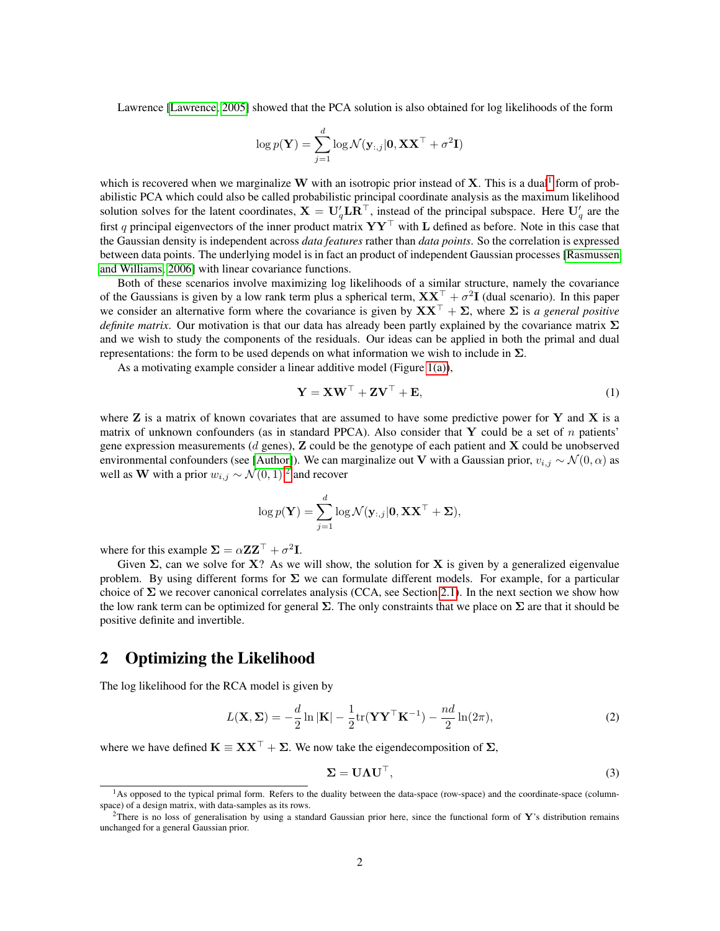Lawrence [\[Lawrence, 2005\]](#page-8-1) showed that the PCA solution is also obtained for log likelihoods of the form

$$
\log p(\mathbf{Y}) = \sum_{j=1}^d \log \mathcal{N}(\mathbf{y}_{:,j}|\mathbf{0}, \mathbf{X}\mathbf{X}^\top + \sigma^2 \mathbf{I})
$$

which is recovered when we marginalize W with an isotropic prior instead of  $X$ . This is a dual<sup>[1](#page-1-0)</sup> form of probabilistic PCA which could also be called probabilistic principal coordinate analysis as the maximum likelihood solution solves for the latent coordinates,  $X = U_q' L R^T$ , instead of the principal subspace. Here  $U_q'$  are the first q principal eigenvectors of the inner product matrix  $YY^{\top}$  with L defined as before. Note in this case that the Gaussian density is independent across *data features* rather than *data points*. So the correlation is expressed between data points. The underlying model is in fact an product of independent Gaussian processes [\[Rasmussen](#page-8-2) [and Williams, 2006\]](#page-8-2) with linear covariance functions.

Both of these scenarios involve maximizing log likelihoods of a similar structure, namely the covariance of the Gaussians is given by a low rank term plus a spherical term,  $XX^{\top} + \sigma^2 I$  (dual scenario). In this paper we consider an alternative form where the covariance is given by  $\mathbf{X} \mathbf{X}^{\top} + \mathbf{\Sigma}$ , where  $\mathbf{\Sigma}$  is *a general positive definite matrix*. Our motivation is that our data has already been partly explained by the covariance matrix Σ and we wish to study the components of the residuals. Our ideas can be applied in both the primal and dual representations: the form to be used depends on what information we wish to include in  $\Sigma$ .

As a motivating example consider a linear additive model (Figure [1\(a\)\)](#page-4-0),

<span id="page-1-4"></span>
$$
\mathbf{Y} = \mathbf{X}\mathbf{W}^{\top} + \mathbf{Z}\mathbf{V}^{\top} + \mathbf{E},\tag{1}
$$

where  $Z$  is a matrix of known covariates that are assumed to have some predictive power for  $Y$  and  $X$  is a matrix of unknown confounders (as in standard PPCA). Also consider that Y could be a set of  $n$  patients' gene expression measurements ( $d$  genes),  $\bf{Z}$  could be the genotype of each patient and  $\bf{X}$  could be unobserved environmental confounders (see [\[Author\]](#page-8-3)). We can marginalize out V with a Gaussian prior,  $v_{i,j} \sim \mathcal{N}(0, \alpha)$  as well as W with a prior  $w_{i,j} \sim \mathcal{N}(0, 1)^2$  $w_{i,j} \sim \mathcal{N}(0, 1)^2$  and recover

$$
\log p(\mathbf{Y}) = \sum_{j=1}^{d} \log \mathcal{N}(\mathbf{y}_{:,j}|\mathbf{0}, \mathbf{X}\mathbf{X}^{\top} + \mathbf{\Sigma}),
$$

where for this example  $\Sigma = \alpha Z Z^{\top} + \sigma^2 I$ .

Given  $\Sigma$ , can we solve for X? As we will show, the solution for X is given by a generalized eigenvalue problem. By using different forms for  $\Sigma$  we can formulate different models. For example, for a particular choice of  $\Sigma$  we recover canonical correlates analysis (CCA, see Section [2.1\)](#page-3-0). In the next section we show how the low rank term can be optimized for general  $\Sigma$ . The only constraints that we place on  $\Sigma$  are that it should be positive definite and invertible.

# 2 Optimizing the Likelihood

The log likelihood for the RCA model is given by

<span id="page-1-2"></span>
$$
L(\mathbf{X}, \Sigma) = -\frac{d}{2} \ln |\mathbf{K}| - \frac{1}{2} \text{tr}(\mathbf{Y} \mathbf{Y}^{\top} \mathbf{K}^{-1}) - \frac{nd}{2} \ln(2\pi),
$$
 (2)

where we have defined  $K \equiv XX^{\top} + \Sigma$ . We now take the eigendecomposition of  $\Sigma$ ,

<span id="page-1-3"></span>
$$
\Sigma = \mathbf{U}\Lambda\mathbf{U}^{\top},\tag{3}
$$

<span id="page-1-0"></span><sup>&</sup>lt;sup>1</sup>As opposed to the typical primal form. Refers to the duality between the data-space (row-space) and the coordinate-space (columnspace) of a design matrix, with data-samples as its rows.

<span id="page-1-1"></span><sup>&</sup>lt;sup>2</sup>There is no loss of generalisation by using a standard Gaussian prior here, since the functional form of Y's distribution remains unchanged for a general Gaussian prior.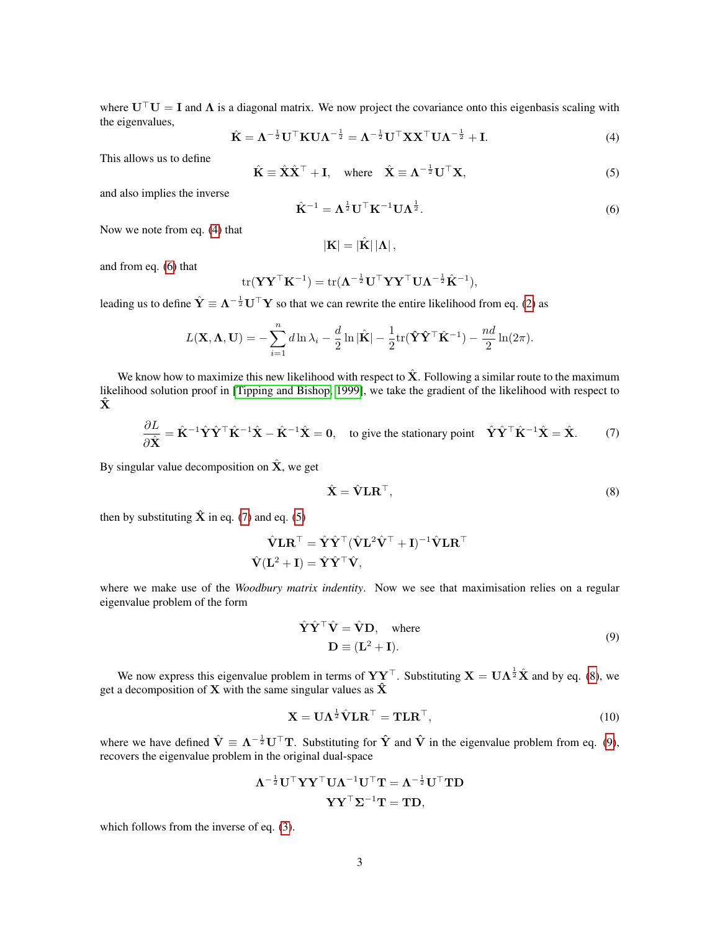where  $U^{\top}U = I$  and  $\Lambda$  is a diagonal matrix. We now project the covariance onto this eigenbasis scaling with the eigenvalues,

<span id="page-2-0"></span>
$$
\hat{\mathbf{K}} = \boldsymbol{\Lambda}^{-\frac{1}{2}} \mathbf{U}^{\top} \mathbf{K} \mathbf{U} \boldsymbol{\Lambda}^{-\frac{1}{2}} = \boldsymbol{\Lambda}^{-\frac{1}{2}} \mathbf{U}^{\top} \mathbf{X} \mathbf{X}^{\top} \mathbf{U} \boldsymbol{\Lambda}^{-\frac{1}{2}} + \mathbf{I}.
$$
 (4)

This allows us to define

<span id="page-2-3"></span>
$$
\hat{\mathbf{K}} \equiv \hat{\mathbf{X}} \hat{\mathbf{X}}^{\top} + \mathbf{I}, \quad \text{where} \quad \hat{\mathbf{X}} \equiv \mathbf{\Lambda}^{-\frac{1}{2}} \mathbf{U}^{\top} \mathbf{X}, \tag{5}
$$

and also implies the inverse

<span id="page-2-1"></span>
$$
\hat{\mathbf{K}}^{-1} = \boldsymbol{\Lambda}^{\frac{1}{2}} \mathbf{U}^{\top} \mathbf{K}^{-1} \mathbf{U} \boldsymbol{\Lambda}^{\frac{1}{2}}.
$$
\n
$$
(6)
$$

Now we note from eq. [\(4\)](#page-2-0) that

$$
\left\vert \mathbf{K}\right\vert =\left\vert \hat{\mathbf{K}}\right\vert \left\vert \mathbf{\Lambda}\right\vert ,
$$

and from eq. [\(6\)](#page-2-1) that

$$
\mathrm{tr}(\mathbf{Y}\mathbf{Y}^{\top}\mathbf{K}^{-1}) = \mathrm{tr}(\mathbf{\Lambda}^{-\frac{1}{2}}\mathbf{U}^{\top}\mathbf{Y}\mathbf{Y}^{\top}\mathbf{U}\mathbf{\Lambda}^{-\frac{1}{2}}\hat{\mathbf{K}}^{-1}),
$$

leading us to define  $\hat{Y} \equiv \Lambda^{-\frac{1}{2}} U^{\top} Y$  so that we can rewrite the entire likelihood from eq. [\(2\)](#page-1-2) as

$$
L(\mathbf{X}, \mathbf{\Lambda}, \mathbf{U}) = -\sum_{i=1}^{n} d \ln \lambda_i - \frac{d}{2} \ln |\hat{\mathbf{K}}| - \frac{1}{2} tr(\hat{\mathbf{Y}} \hat{\mathbf{Y}}^{\top} \hat{\mathbf{K}}^{-1}) - \frac{nd}{2} \ln(2\pi).
$$

We know how to maximize this new likelihood with respect to  $\hat{X}$ . Following a similar route to the maximum likelihood solution proof in [\[Tipping and Bishop, 1999\]](#page-8-0), we take the gradient of the likelihood with respect to  $\hat{\mathbf{x}}$ 

$$
\frac{\partial L}{\partial \hat{\mathbf{X}}} = \hat{\mathbf{K}}^{-1} \hat{\mathbf{Y}} \hat{\mathbf{Y}}^{\top} \hat{\mathbf{K}}^{-1} \hat{\mathbf{X}} - \hat{\mathbf{K}}^{-1} \hat{\mathbf{X}} = \mathbf{0}, \quad \text{to give the stationary point} \quad \hat{\mathbf{Y}} \hat{\mathbf{Y}}^{\top} \hat{\mathbf{K}}^{-1} \hat{\mathbf{X}} = \hat{\mathbf{X}}.
$$
 (7)

By singular value decomposition on  $\hat{\mathbf{X}}$ , we get

<span id="page-2-4"></span><span id="page-2-2"></span>
$$
\hat{\mathbf{X}} = \hat{\mathbf{V}} \mathbf{L} \mathbf{R}^{\top},\tag{8}
$$

then by substituting  $\hat{\mathbf{X}}$  in eq. [\(7\)](#page-2-2) and eq. [\(5\)](#page-2-3)

$$
\begin{aligned} \hat{\mathbf{V}}\mathbf{L}\mathbf{R}^{\top} &= \hat{\mathbf{Y}}\hat{\mathbf{Y}}^{\top}(\hat{\mathbf{V}}\mathbf{L}^2\hat{\mathbf{V}}^{\top} + \mathbf{I})^{-1}\hat{\mathbf{V}}\mathbf{L}\mathbf{R}^{\top} \\ \hat{\mathbf{V}}(\mathbf{L}^2 + \mathbf{I}) &= \hat{\mathbf{Y}}\hat{\mathbf{Y}}^{\top}\hat{\mathbf{V}}, \end{aligned}
$$

where we make use of the *Woodbury matrix indentity*. Now we see that maximisation relies on a regular eigenvalue problem of the form

$$
\hat{\mathbf{Y}}\hat{\mathbf{Y}}^{\top}\hat{\mathbf{V}} = \hat{\mathbf{V}}\mathbf{D}, \text{ where}
$$
  

$$
\mathbf{D} \equiv (\mathbf{L}^2 + \mathbf{I}).
$$
 (9)

<span id="page-2-5"></span>We now express this eigenvalue problem in terms of  $YY^{\top}$ . Substituting  $X = UA^{\frac{1}{2}}\hat{X}$  and by eq. [\(8\)](#page-2-4), we get a decomposition of **X** with the same singular values as  $\hat{\mathbf{X}}$ 

<span id="page-2-6"></span>
$$
\mathbf{X} = \mathbf{U}\Lambda^{\frac{1}{2}}\hat{\mathbf{V}}\mathbf{L}\mathbf{R}^{\top} = \mathbf{T}\mathbf{L}\mathbf{R}^{\top},\tag{10}
$$

where we have defined  $\hat{V} \equiv \Lambda^{-\frac{1}{2}} U^{\top} T$ . Substituting for  $\hat{Y}$  and  $\hat{V}$  in the eigenvalue problem from eq. [\(9\)](#page-2-5), recovers the eigenvalue problem in the original dual-space

$$
\mathbf{\Lambda}^{-\frac{1}{2}} \mathbf{U}^{\top} \mathbf{Y} \mathbf{Y}^{\top} \mathbf{U} \mathbf{\Lambda}^{-1} \mathbf{U}^{\top} \mathbf{T} = \mathbf{\Lambda}^{-\frac{1}{2}} \mathbf{U}^{\top} \mathbf{T} \mathbf{D}
$$

$$
\mathbf{Y} \mathbf{Y}^{\top} \mathbf{\Sigma}^{-1} \mathbf{T} = \mathbf{T} \mathbf{D},
$$

which follows from the inverse of eq. [\(3\)](#page-1-3).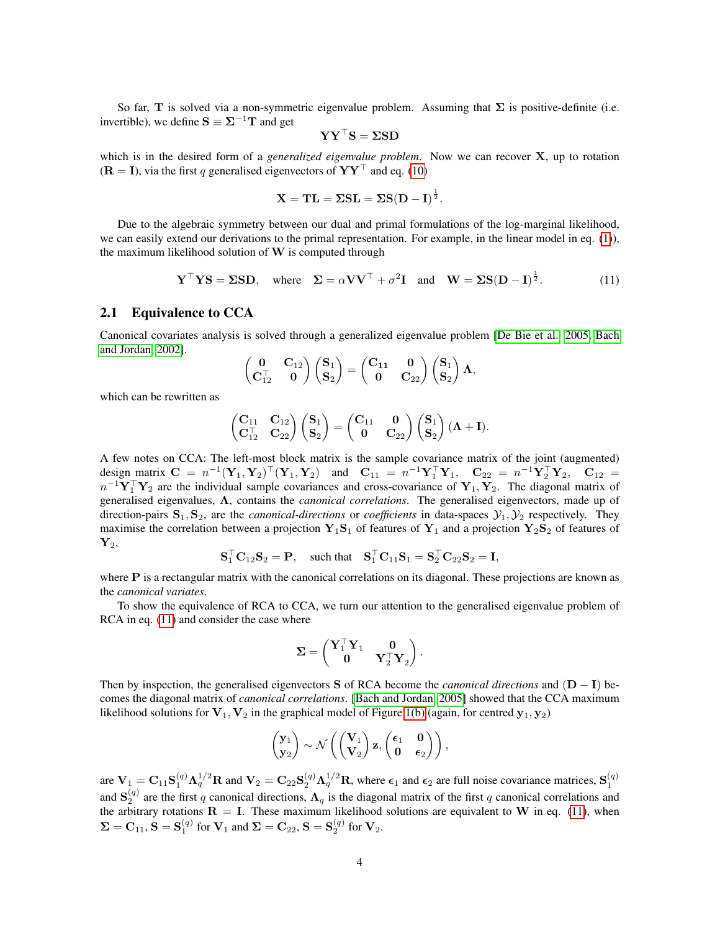So far, T is solved via a non-symmetric eigenvalue problem. Assuming that  $\Sigma$  is positive-definite (i.e. invertible), we define  $S \equiv \Sigma^{-1}T$  and get

$$
\mathbf{Y}\mathbf{Y}^\top\mathbf{S} = \boldsymbol{\Sigma}\mathbf{S}\mathbf{D}
$$

which is in the desired form of a *generalized eigenvalue problem*. Now we can recover X, up to rotation  $(R = I)$ , via the first q generalised eigenvectors of  $YY<sup>T</sup>$  and eq. [\(10\)](#page-2-6)

$$
\mathbf{X} = \mathbf{TL} = \Sigma S \mathbf{L} = \Sigma S (\mathbf{D} - \mathbf{I})^{\frac{1}{2}}.
$$

Due to the algebraic symmetry between our dual and primal formulations of the log-marginal likelihood, we can easily extend our derivations to the primal representation. For example, in the linear model in eq. [\(1\)](#page-1-4)), the maximum likelihood solution of  $W$  is computed through

<span id="page-3-1"></span>
$$
\mathbf{Y}^{\top} \mathbf{Y} \mathbf{S} = \Sigma \mathbf{S} \mathbf{D}, \text{ where } \Sigma = \alpha \mathbf{V} \mathbf{V}^{\top} + \sigma^2 \mathbf{I} \text{ and } \mathbf{W} = \Sigma \mathbf{S} (\mathbf{D} - \mathbf{I})^{\frac{1}{2}}.
$$
 (11)

#### <span id="page-3-0"></span>2.1 Equivalence to CCA

Canonical covariates analysis is solved through a generalized eigenvalue problem [\[De Bie et al., 2005,](#page-8-4) [Bach](#page-8-5) [and Jordan, 2002\]](#page-8-5).

$$
\begin{pmatrix} 0 & C_{12} \ C_{12}^T & 0 \end{pmatrix} \begin{pmatrix} S_1 \ S_2 \end{pmatrix} = \begin{pmatrix} C_{11} & 0 \ 0 & C_{22} \end{pmatrix} \begin{pmatrix} S_1 \ S_2 \end{pmatrix} \Lambda,
$$

which can be rewritten as

$$
\begin{pmatrix} \mathbf{C}_{11} & \mathbf{C}_{12} \\ \mathbf{C}_{12}^\top & \mathbf{C}_{22} \end{pmatrix} \begin{pmatrix} \mathbf{S}_1 \\ \mathbf{S}_2 \end{pmatrix} = \begin{pmatrix} \mathbf{C}_{11} & \mathbf{0} \\ \mathbf{0} & \mathbf{C}_{22} \end{pmatrix} \begin{pmatrix} \mathbf{S}_1 \\ \mathbf{S}_2 \end{pmatrix} (\boldsymbol{\Lambda} + \mathbf{I}).
$$

A few notes on CCA: The left-most block matrix is the sample covariance matrix of the joint (augmented) design matrix  $C = n^{-1}(\mathbf{Y}_1, \mathbf{Y}_2)^\top (\mathbf{Y}_1, \mathbf{Y}_2)$  and  $C_{11} = n^{-1} \mathbf{Y}_1^\top \mathbf{Y}_1$ ,  $C_{22} = n^{-1} \mathbf{Y}_2^\top \mathbf{Y}_2$ ,  $C_{12} =$  $n^{-1}\mathbf{Y}_1^{\top}\mathbf{Y}_2$  are the individual sample covariances and cross-covariance of  $\mathbf{Y}_1, \mathbf{Y}_2$ . The diagonal matrix of generalised eigenvalues, Λ, contains the *canonical correlations*. The generalised eigenvectors, made up of direction-pairs  $S_1, S_2$ , are the *canonical-directions* or *coefficients* in data-spaces  $\mathcal{Y}_1, \mathcal{Y}_2$  respectively. They maximise the correlation between a projection  $Y_1S_1$  of features of  $Y_1$  and a projection  $Y_2S_2$  of features of  $\mathbf{Y}_2,$ 

$$
\mathbf{S}_1^\top \mathbf{C}_{12} \mathbf{S}_2 = \mathbf{P}, \quad \text{such that} \quad \mathbf{S}_1^\top \mathbf{C}_{11} \mathbf{S}_1 = \mathbf{S}_2^\top \mathbf{C}_{22} \mathbf{S}_2 = \mathbf{I},
$$

where **P** is a rectangular matrix with the canonical correlations on its diagonal. These projections are known as the *canonical variates*.

To show the equivalence of RCA to CCA, we turn our attention to the generalised eigenvalue problem of RCA in eq.  $(11)$  and consider the case where

$$
\boldsymbol{\Sigma} = \begin{pmatrix} \mathbf{Y}_1^\top \mathbf{Y}_1 & \mathbf{0} \\ \mathbf{0} & \mathbf{Y}_2^\top \mathbf{Y}_2 \end{pmatrix}.
$$

Then by inspection, the generalised eigenvectors S of RCA become the *canonical directions* and (D − I) becomes the diagonal matrix of *canonical correlations*. [\[Bach and Jordan, 2005\]](#page-8-6) showed that the CCA maximum likelihood solutions for  $V_1$ ,  $V_2$  in the graphical model of Figure [1\(b\)](#page-4-1) (again, for centred  $y_1, y_2$ )

$$
\begin{pmatrix} \mathbf{y}_1 \\ \mathbf{y}_2 \end{pmatrix} \sim \mathcal{N} \left( \begin{pmatrix} \mathbf{V}_1 \\ \mathbf{V}_2 \end{pmatrix} \mathbf{z}, \begin{pmatrix} \epsilon_1 & \mathbf{0} \\ \mathbf{0} & \epsilon_2 \end{pmatrix} \right),
$$

are  $V_1 = C_{11} S_1^{(q)} \Lambda_q^{1/2} R$  and  $V_2 = C_{22} S_2^{(q)} \Lambda_q^{1/2} R$ , where  $\epsilon_1$  and  $\epsilon_2$  are full noise covariance matrices,  $S_1^{(q)}$ and  $S_2^{(q)}$  are the first q canonical directions,  $\Lambda_q$  is the diagonal matrix of the first q canonical correlations and the arbitrary rotations  $\mathbf{R} = \mathbf{I}$ . These maximum likelihood solutions are equivalent to W in eq. [\(11\)](#page-3-1), when  $\Sigma = \mathbf{C}_{11}$ ,  $\mathbf{S} = \mathbf{S}_1^{(q)}$  for  $\mathbf{V}_1$  and  $\Sigma = \mathbf{C}_{22}$ ,  $\mathbf{S} = \mathbf{S}_2^{(q)}$  for  $\mathbf{V}_2$ .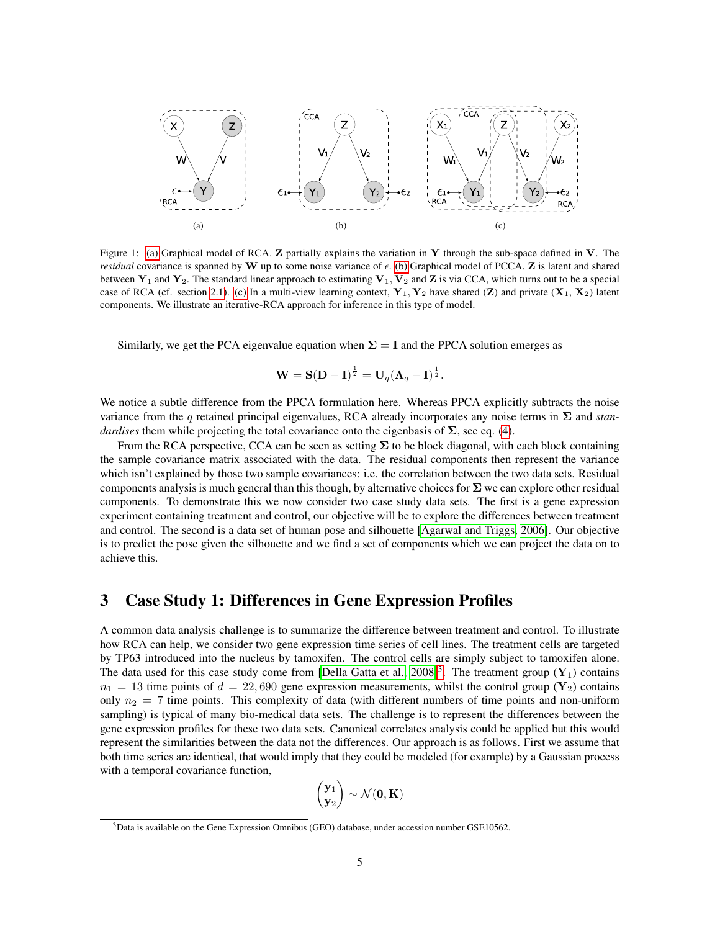<span id="page-4-1"></span><span id="page-4-0"></span>

Figure 1: [\(a\)](#page-4-0) Graphical model of RCA.  $\bf{Z}$  partially explains the variation in  $\bf{Y}$  through the sub-space defined in  $\bf{V}$ . The *residual* covariance is spanned by W up to some noise variance of  $\epsilon$ . [\(b\)](#page-4-1) Graphical model of PCCA. Z is latent and shared between  $Y_1$  and  $Y_2$ . The standard linear approach to estimating  $V_1, V_2$  and Z is via CCA, which turns out to be a special case of RCA (cf. section [2.1\)](#page-3-0). [\(c\)](#page-4-2) In a multi-view learning context,  $Y_1, Y_2$  have shared (Z) and private  $(X_1, X_2)$  latent components. We illustrate an iterative-RCA approach for inference in this type of model.

Similarly, we get the PCA eigenvalue equation when  $\Sigma = I$  and the PPCA solution emerges as

<span id="page-4-2"></span>
$$
\mathbf{W} = \mathbf{S}(\mathbf{D} - \mathbf{I})^{\frac{1}{2}} = \mathbf{U}_q (\boldsymbol{\Lambda}_q - \mathbf{I})^{\frac{1}{2}}.
$$

We notice a subtle difference from the PPCA formulation here. Whereas PPCA explicitly subtracts the noise variance from the q retained principal eigenvalues, RCA already incorporates any noise terms in Σ and *standardises* them while projecting the total covariance onto the eigenbasis of  $\Sigma$ , see eq. [\(4\)](#page-2-0).

From the RCA perspective, CCA can be seen as setting  $\Sigma$  to be block diagonal, with each block containing the sample covariance matrix associated with the data. The residual components then represent the variance which isn't explained by those two sample covariances: i.e. the correlation between the two data sets. Residual components analysis is much general than this though, by alternative choices for  $\Sigma$  we can explore other residual components. To demonstrate this we now consider two case study data sets. The first is a gene expression experiment containing treatment and control, our objective will be to explore the differences between treatment and control. The second is a data set of human pose and silhouette [\[Agarwal and Triggs, 2006\]](#page-8-7). Our objective is to predict the pose given the silhouette and we find a set of components which we can project the data on to achieve this.

#### 3 Case Study 1: Differences in Gene Expression Profiles

A common data analysis challenge is to summarize the difference between treatment and control. To illustrate how RCA can help, we consider two gene expression time series of cell lines. The treatment cells are targeted by TP63 introduced into the nucleus by tamoxifen. The control cells are simply subject to tamoxifen alone. The data used for this case study come from [\[Della Gatta et al., 2008\]](#page-8-8)<sup>[3](#page-4-3)</sup>. The treatment group  $(Y_1)$  contains  $n_1 = 13$  time points of  $d = 22,690$  gene expression measurements, whilst the control group (Y<sub>2</sub>) contains only  $n_2 = 7$  time points. This complexity of data (with different numbers of time points and non-uniform sampling) is typical of many bio-medical data sets. The challenge is to represent the differences between the gene expression profiles for these two data sets. Canonical correlates analysis could be applied but this would represent the similarities between the data not the differences. Our approach is as follows. First we assume that both time series are identical, that would imply that they could be modeled (for example) by a Gaussian process with a temporal covariance function,

$$
\begin{pmatrix} \mathbf{y}_1 \\ \mathbf{y}_2 \end{pmatrix} \sim \mathcal{N}(\mathbf{0}, \mathbf{K})
$$

<span id="page-4-3"></span><sup>&</sup>lt;sup>3</sup>Data is available on the Gene Expression Omnibus (GEO) database, under accession number GSE10562.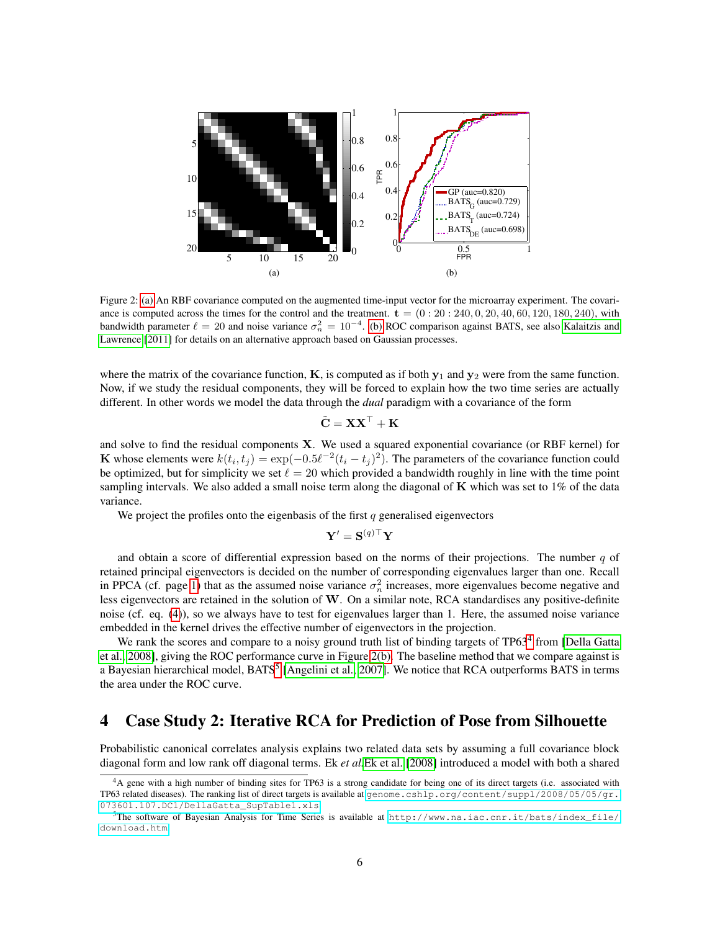<span id="page-5-0"></span>

Figure 2: [\(a\)](#page-5-0) An RBF covariance computed on the augmented time-input vector for the microarray experiment. The covariance is computed across the times for the control and the treatment.  $\mathbf{t} = (0:20:240,0,20,40,60,120,180,240)$ , with bandwidth parameter  $\ell = 20$  and noise variance  $\sigma_n^2 = 10^{-4}$ . [\(b\)](#page-5-1) ROC comparison against BATS, see also [Kalaitzis and](#page-8-9) [Lawrence](#page-8-9) [\[2011\]](#page-8-9) for details on an alternative approach based on Gaussian processes.

where the matrix of the covariance function,  $K$ , is computed as if both  $y_1$  and  $y_2$  were from the same function. Now, if we study the residual components, they will be forced to explain how the two time series are actually different. In other words we model the data through the *dual* paradigm with a covariance of the form

<span id="page-5-1"></span>
$$
\tilde{\mathbf{C}} = \mathbf{X} \mathbf{X}^\top + \mathbf{K}
$$

and solve to find the residual components X. We used a squared exponential covariance (or RBF kernel) for K whose elements were  $k(t_i, t_j) = \exp(-0.5\ell^{-2}(t_i - t_j)^2)$ . The parameters of the covariance function could be optimized, but for simplicity we set  $\ell = 20$  which provided a bandwidth roughly in line with the time point sampling intervals. We also added a small noise term along the diagonal of  $\bf{K}$  which was set to 1% of the data variance.

We project the profiles onto the eigenbasis of the first  $q$  generalised eigenvectors

$$
\mathbf{Y}' = \mathbf{S}^{(q)\top}\mathbf{Y}
$$

and obtain a score of differential expression based on the norms of their projections. The number  $q$  of retained principal eigenvectors is decided on the number of corresponding eigenvalues larger than one. Recall in PPCA (cf. page [1\)](#page-0-0) that as the assumed noise variance  $\sigma_n^2$  increases, more eigenvalues become negative and less eigenvectors are retained in the solution of W. On a similar note, RCA standardises any positive-definite noise (cf. eq. [\(4\)](#page-2-0)), so we always have to test for eigenvalues larger than 1. Here, the assumed noise variance embedded in the kernel drives the effective number of eigenvectors in the projection.

We rank the scores and compare to a noisy ground truth list of binding targets of TP63<sup>[4](#page-5-2)</sup> from [\[Della Gatta](#page-8-8) [et al., 2008\]](#page-8-8), giving the ROC performance curve in Figure [2\(b\).](#page-5-1) The baseline method that we compare against is a Bayesian hierarchical model, BATS<sup>[5](#page-5-3)</sup> [\[Angelini et al., 2007\]](#page-8-10). We notice that RCA outperforms BATS in terms the area under the ROC curve.

## 4 Case Study 2: Iterative RCA for Prediction of Pose from Silhouette

Probabilistic canonical correlates analysis explains two related data sets by assuming a full covariance block diagonal form and low rank off diagonal terms. Ek *et al.*[Ek et al.](#page-8-11) [\[2008\]](#page-8-11) introduced a model with both a shared

<span id="page-5-2"></span><sup>&</sup>lt;sup>4</sup>A gene with a high number of binding sites for TP63 is a strong candidate for being one of its direct targets (i.e. associated with TP63 related diseases). The ranking list of direct targets is available at [genome.cshlp.org/content/suppl/2008/05/05/gr.]( genome.cshlp.org/content/suppl/2008/05/05/gr.073601.107.DC1/DellaGatta_SupTable1 .xls) [073601.107.DC1/DellaGatta\\_SupTable1.xls]( genome.cshlp.org/content/suppl/2008/05/05/gr.073601.107.DC1/DellaGatta_SupTable1 .xls)

<span id="page-5-3"></span><sup>&</sup>lt;sup>5</sup>The software of Bayesian Analysis for Time Series is available at [http://www.na.iac.cnr.it/bats/index\\_file/](http://www.na.iac.cnr.it/bats/index_file/download.htm) [download.htm](http://www.na.iac.cnr.it/bats/index_file/download.htm).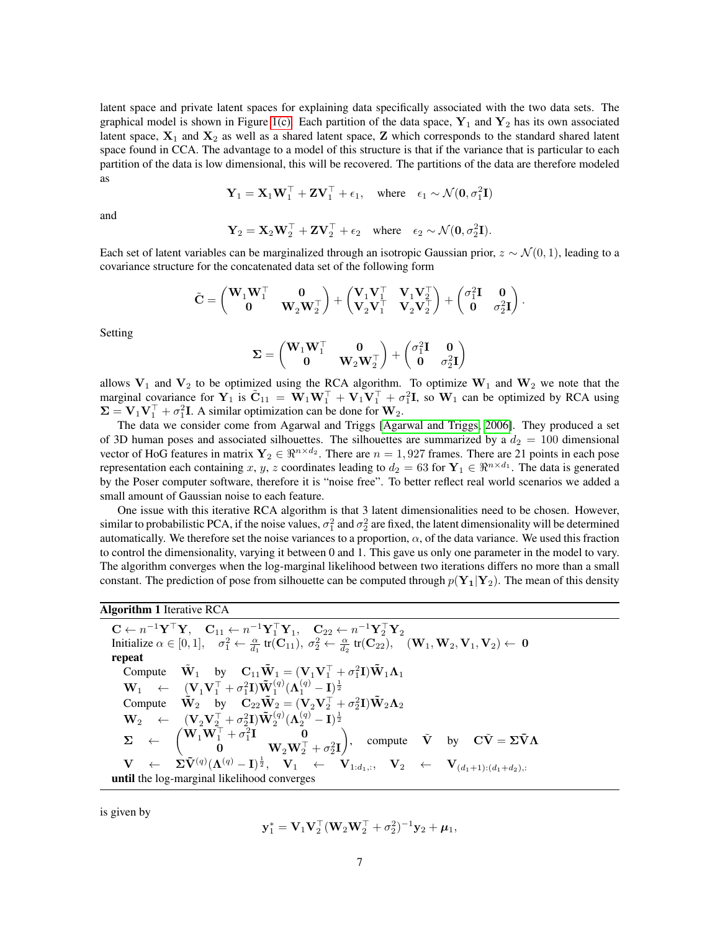latent space and private latent spaces for explaining data specifically associated with the two data sets. The graphical model is shown in Figure [1\(c\).](#page-4-2) Each partition of the data space,  $Y_1$  and  $Y_2$  has its own associated latent space,  $X_1$  and  $X_2$  as well as a shared latent space, Z which corresponds to the standard shared latent space found in CCA. The advantage to a model of this structure is that if the variance that is particular to each partition of the data is low dimensional, this will be recovered. The partitions of the data are therefore modeled as

$$
\mathbf{Y}_1 = \mathbf{X}_1 \mathbf{W}_1^\top + \mathbf{Z} \mathbf{V}_1^\top + \epsilon_1
$$
, where  $\epsilon_1 \sim \mathcal{N}(\mathbf{0}, \sigma_1^2 \mathbf{I})$ 

and

$$
\mathbf{Y}_2 = \mathbf{X}_2 \mathbf{W}_2^{\top} + \mathbf{Z} \mathbf{V}_2^{\top} + \epsilon_2 \quad \text{where} \quad \epsilon_2 \sim \mathcal{N}(\mathbf{0}, \sigma_2^2 \mathbf{I}).
$$

Each set of latent variables can be marginalized through an isotropic Gaussian prior,  $z \sim \mathcal{N}(0, 1)$ , leading to a covariance structure for the concatenated data set of the following form

$$
\tilde{\mathbf{C}} = \begin{pmatrix} \mathbf{W}_1 \mathbf{W}_1^\top & \mathbf{0} \\ \mathbf{0} & \mathbf{W}_2 \mathbf{W}_2^\top \end{pmatrix} + \begin{pmatrix} \mathbf{V}_1 \mathbf{V}_1^\top & \mathbf{V}_1 \mathbf{V}_2^\top \\ \mathbf{V}_2 \mathbf{V}_1^\top & \mathbf{V}_2 \mathbf{V}_2^\top \end{pmatrix} + \begin{pmatrix} \sigma_1^2 \mathbf{I} & \mathbf{0} \\ \mathbf{0} & \sigma_2^2 \mathbf{I} \end{pmatrix}.
$$

Setting

$$
\boldsymbol{\Sigma} = \begin{pmatrix} \mathbf{W}_1 \mathbf{W}_1^\top & \mathbf{0} \\ \mathbf{0} & \mathbf{W}_2 \mathbf{W}_2^\top \end{pmatrix} + \begin{pmatrix} \sigma_1^2 \mathbf{I} & \mathbf{0} \\ \mathbf{0} & \sigma_2^2 \mathbf{I} \end{pmatrix}
$$

allows  $V_1$  and  $V_2$  to be optimized using the RCA algorithm. To optimize  $W_1$  and  $W_2$  we note that the marginal covariance for  $Y_1$  is  $\tilde{C}_{11} = \tilde{W}_1 W_1^{\top} + V_1 V_1^{\top} + \sigma_1^2 I$ , so  $W_1$  can be optimized by RCA using  $\Sigma = V_1 V_1^\top + \sigma_1^2 I$ . A similar optimization can be done for  $W_2$ .

The data we consider come from Agarwal and Triggs [\[Agarwal and Triggs, 2006\]](#page-8-7). They produced a set of 3D human poses and associated silhouettes. The silhouettes are summarized by a  $d_2 = 100$  dimensional vector of HoG features in matrix  $Y_2 \in \mathbb{R}^{n \times d_2}$ . There are  $n = 1,927$  frames. There are 21 points in each pose representation each containing x, y, z coordinates leading to  $d_2 = 63$  for  $Y_1 \in \Re^{n \times d_1}$ . The data is generated by the Poser computer software, therefore it is "noise free". To better reflect real world scenarios we added a small amount of Gaussian noise to each feature.

One issue with this iterative RCA algorithm is that 3 latent dimensionalities need to be chosen. However, similar to probabilistic PCA, if the noise values,  $\sigma_1^2$  and  $\sigma_2^2$  are fixed, the latent dimensionality will be determined automatically. We therefore set the noise variances to a proportion,  $\alpha$ , of the data variance. We used this fraction to control the dimensionality, varying it between 0 and 1. This gave us only one parameter in the model to vary. The algorithm converges when the log-marginal likelihood between two iterations differs no more than a small constant. The prediction of pose from silhouette can be computed through  $p(Y_1|Y_2)$ . The mean of this density

#### Algorithm 1 Iterative RCA

 $\mathbf{C} \leftarrow n^{-1} \mathbf{Y}^{\top} \mathbf{Y}, \quad \mathbf{C}_{11} \leftarrow n^{-1} \mathbf{Y}_1^{\top} \mathbf{Y}_1, \quad \mathbf{C}_{22} \leftarrow n^{-1} \mathbf{Y}_2^{\top} \mathbf{Y}_2$ Initialize  $\alpha \in [0, 1]$ ,  $\sigma_1^2 \leftarrow \frac{\alpha}{d_1} \operatorname{tr}(\mathbf{C}_{11}), \sigma_2^2 \leftarrow \frac{\alpha}{d_2} \operatorname{tr}(\mathbf{C}_{22}), \quad (\mathbf{W}_1, \mathbf{W}_2, \mathbf{V}_1, \mathbf{V}_2) \leftarrow \mathbf{0}$ repeat Compute  $\tilde{\mathbf{W}}_1$  by  $\mathbf{C}_{11}\tilde{\mathbf{W}}_1 = (\mathbf{V}_1\mathbf{V}_1^\top + \sigma_1^2\mathbf{I})\tilde{\mathbf{W}}_1\mathbf{\Lambda}_1$  $\mathbf{W}_1 \leftarrow \begin{array}{c} (\mathbf{V}_1 \mathbf{V}_1^{\top} + \sigma_1^2 \mathbf{I}) \tilde{\mathbf{W}}_1^{(q)} (\mathbf{\Lambda}_1^{(q)} - \mathbf{I})^{\frac{1}{2}} \ \mathbf{Compute} \quad \tilde{\mathbf{W}}_2 \quad \text{by} \quad \mathbf{C}_{22} \tilde{\mathbf{W}}_2 = (\mathbf{V}_2 \mathbf{V}_2^{\top} + \sigma_2^2 \mathbf{I}) \tilde{\mathbf{W}}_2 \mathbf{\Lambda}_2 \end{array}$  $\mathbf{W}_2 \quad \leftarrow \quad (\mathbf{V}_2\mathbf{V}_2^\top + \sigma_2^2\mathbf{I}) \tilde{\mathbf{W}}_2^{(q)} (\mathbf{\Lambda}_2^{(q)} - \mathbf{I})^{\frac{1}{2}}$  $\boldsymbol{\Sigma} \quad \leftarrow \quad \begin{pmatrix} \mathbf{W}_1 \mathbf{W}_1^\top + \sigma_1^2 \mathbf{I} & \mathbf{0} \ \mathbf{0} & \mathbf{W}_1 \mathbf{W}_1^\top \end{pmatrix}$  $\mathbf{0} \qquad \qquad \mathbf{W}_2 \mathbf{W}_2^\top + \sigma_2^2 \mathbf{I}$ ), compute  $\tilde{V}$  by  $C\tilde{V} = \Sigma \tilde{V} \Lambda$  $\begin{array}{rclcl} \mathbf{V} & \leftarrow & \mathbf{\Sigma} \tilde{\mathbf{V}}^{(q)} (\mathbf{\Lambda}^{(q)} - \mathbf{I})^{\frac{1}{2}}, & \mathbf{V}_1 & \leftarrow & \mathbf{V}_{1:d_1,:}, & \mathbf{V}_2 & \leftarrow & \mathbf{V}_{(d_1+1):(d_1+d_2),:} \end{array}$ until the log-marginal likelihood converges

is given by

$$
\mathbf{y}_1^* = \mathbf{V}_1 \mathbf{V}_2^\top (\mathbf{W}_2 \mathbf{W}_2^\top + \sigma_2^2)^{-1} \mathbf{y}_2 + \boldsymbol{\mu}_1,
$$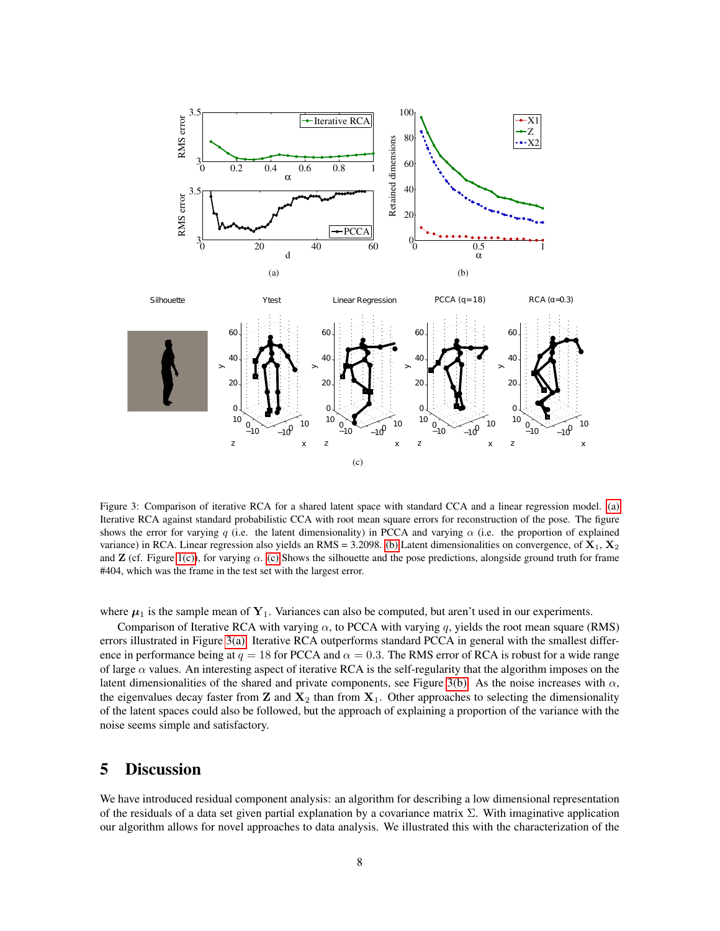<span id="page-7-0"></span>

<span id="page-7-2"></span>Figure 3: Comparison of iterative RCA for a shared latent space with standard CCA and a linear regression model. [\(a\)](#page-7-0) Iterative RCA against standard probabilistic CCA with root mean square errors for reconstruction of the pose. The figure shows the error for varying q (i.e. the latent dimensionality) in PCCA and varying  $\alpha$  (i.e. the proportion of explained variance) in RCA. Linear regression also yields an RMS = 3.2098. [\(b\)](#page-7-1) Latent dimensionalities on convergence, of  $X_1, X_2$ and **Z** (cf. Figure [1\(c\)\)](#page-4-2), for varying  $\alpha$ . [\(c\)](#page-7-2) Shows the silhouette and the pose predictions, alongside ground truth for frame #404, which was the frame in the test set with the largest error.

(c)

<span id="page-7-1"></span> $\mathbf{x}$ z  $\mathbf{x}$ z  $\mathsf{x}$ 

 $\mathsf{x}$ z

z

where  $\mu_1$  is the sample mean of  $Y_1$ . Variances can also be computed, but aren't used in our experiments.

Comparison of Iterative RCA with varying  $\alpha$ , to PCCA with varying q, yields the root mean square (RMS) errors illustrated in Figure [3\(a\).](#page-7-0) Iterative RCA outperforms standard PCCA in general with the smallest difference in performance being at  $q = 18$  for PCCA and  $\alpha = 0.3$ . The RMS error of RCA is robust for a wide range of large  $\alpha$  values. An interesting aspect of iterative RCA is the self-regularity that the algorithm imposes on the latent dimensionalities of the shared and private components, see Figure [3\(b\).](#page-7-1) As the noise increases with  $\alpha$ , the eigenvalues decay faster from  $\mathbf{Z}$  and  $\mathbf{X}_2$  than from  $\mathbf{X}_1$ . Other approaches to selecting the dimensionality of the latent spaces could also be followed, but the approach of explaining a proportion of the variance with the noise seems simple and satisfactory.

### 5 Discussion

We have introduced residual component analysis: an algorithm for describing a low dimensional representation of the residuals of a data set given partial explanation by a covariance matrix  $\Sigma$ . With imaginative application our algorithm allows for novel approaches to data analysis. We illustrated this with the characterization of the